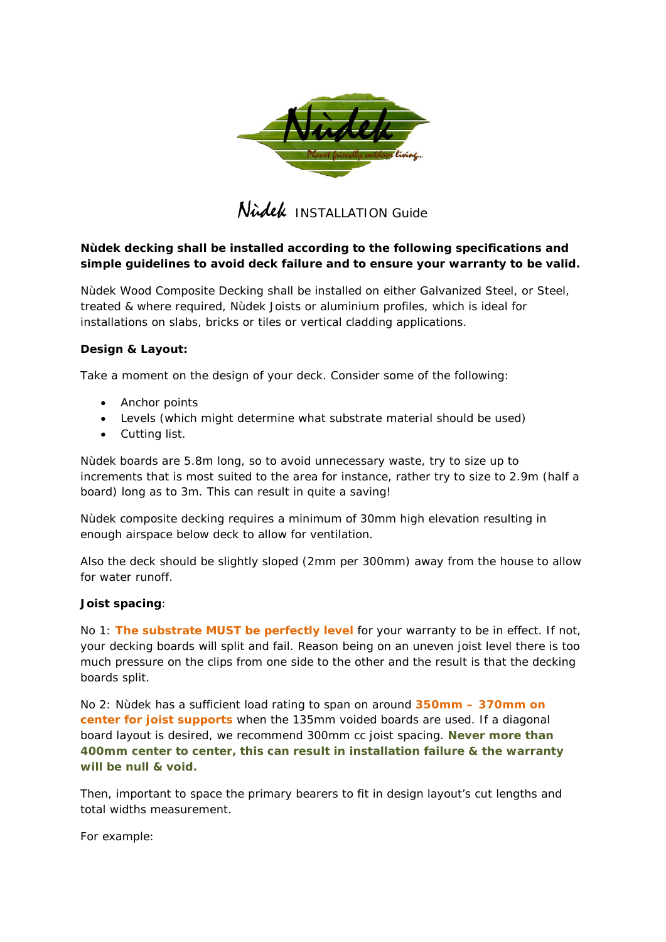

Nidel INSTALLATION Guide

# *Nùdek decking shall be installed according to the following specifications and simple guidelines to avoid deck failure and to ensure your warranty to be valid.*

Nùdek Wood Composite Decking shall be installed on either Galvanized Steel, or Steel, treated & where required, Nùdek Joists or aluminium profiles, which is ideal for installations on slabs, bricks or tiles or vertical cladding applications.

# **Design & Layout:**

Take a moment on the design of your deck. Consider some of the following:

- Anchor points
- Levels (which might determine what substrate material should be used)
- Cutting list.

Nùdek boards are 5.8m long, so to avoid unnecessary waste, try to size up to increments that is most suited to the area for instance, rather try to size to 2.9m (half a board) long as to 3m. This can result in quite a saving!

Nùdek composite decking requires a minimum of 30mm high elevation resulting in enough airspace below deck to allow for ventilation.

Also the deck should be slightly sloped (2mm per 300mm) away from the house to allow for water runoff.

#### **Joist spacing**:

No 1: **The substrate MUST be perfectly level** for your warranty to be in effect. If not, your decking boards will split and fail. Reason being on an uneven joist level there is too much pressure on the clips from one side to the other and the result is that the decking boards split.

No 2: Nùdek has a sufficient load rating to span on around **350mm – 370mm on center for joist supports** when the 135mm voided boards are used. If a diagonal board layout is desired, we recommend 300mm cc joist spacing. *Never more than 400mm center to center, this can result in installation failure & the warranty will be null & void.*

Then, important to space the primary bearers to fit in design layout's cut lengths and total widths measurement.

For example: